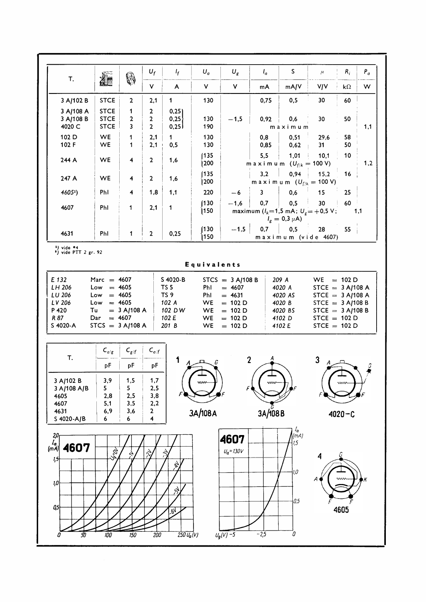| T.                                                                                                                                                                                                                                                                                                                                                                                                                                                                                                                                                                                   | <b>Alle</b>                                                 | 6                                                      | $U_f$                                                 | $I_f$        | $U_a$         | $U_{\rm g}$ | $I_a$                           | S.                                                                                 | $\mu$      | $R_i$            | $P_a$ |
|--------------------------------------------------------------------------------------------------------------------------------------------------------------------------------------------------------------------------------------------------------------------------------------------------------------------------------------------------------------------------------------------------------------------------------------------------------------------------------------------------------------------------------------------------------------------------------------|-------------------------------------------------------------|--------------------------------------------------------|-------------------------------------------------------|--------------|---------------|-------------|---------------------------------|------------------------------------------------------------------------------------|------------|------------------|-------|
|                                                                                                                                                                                                                                                                                                                                                                                                                                                                                                                                                                                      |                                                             |                                                        | <b>V</b>                                              | A            | V.            | <b>V</b>    | mA                              | mA/V                                                                               | <b>V/V</b> | $k\Omega$        | W     |
| 3 A/102 B                                                                                                                                                                                                                                                                                                                                                                                                                                                                                                                                                                            | <b>STCE</b>                                                 | $\overline{2}$                                         | 2,1                                                   | 1            | 130           |             | 0,75                            | 0, 5                                                                               | 30         | 60               |       |
| 3 A/108 A<br>3 A/108 B                                                                                                                                                                                                                                                                                                                                                                                                                                                                                                                                                               | <b>STCE</b><br><b>STCE</b>                                  | 1<br>$\overline{2}$                                    | $\mathbf{2}$<br>$\overline{2}$                        | 0,25<br>0,25 | 130           | $-1,5$      | 0,92                            | 0,6                                                                                | 30         | 50               |       |
| 4020 C                                                                                                                                                                                                                                                                                                                                                                                                                                                                                                                                                                               | <b>STCE</b>                                                 | 3                                                      | $\overline{2}$                                        | 0,25         | 190           |             |                                 | maximum                                                                            |            |                  | 1,1   |
| 102 D<br>102 F                                                                                                                                                                                                                                                                                                                                                                                                                                                                                                                                                                       | WE.<br><b>WE</b>                                            | $\mathbf{1}$<br>$\mathbf{1}$                           | 2,1<br>2,1                                            | 1<br>0, 5    | 130<br>130    |             | 0,8<br>0,85                     | 0,51<br>0,62                                                                       | 29,6<br>31 | 58<br>50         |       |
| 244 A                                                                                                                                                                                                                                                                                                                                                                                                                                                                                                                                                                                | WE                                                          | 4                                                      | $\overline{2}$                                        | 1,6          | (135)<br>1200 |             | 5,5                             | 1,01<br>maximum $(U_{f/k} = 100 V)$                                                | 10,1       | 10               | 1,2   |
| 247 A                                                                                                                                                                                                                                                                                                                                                                                                                                                                                                                                                                                | WE                                                          | $\overline{\mathbf{4}}$                                | $\mathbf{2}$                                          | 1,6          | (135)<br> 200 |             | 3,2                             | 0,94<br>maximum $(U_{f/k} = 100 V)$                                                | 15,2       | 16               |       |
| 4605 <sup>2</sup> )                                                                                                                                                                                                                                                                                                                                                                                                                                                                                                                                                                  | PhI                                                         | 4                                                      | 1,8                                                   | 1,1          | 220           | -6          | $\overline{\mathbf{3}}$         | 0,6                                                                                | 15         | 25               |       |
| 4607                                                                                                                                                                                                                                                                                                                                                                                                                                                                                                                                                                                 | PhI                                                         | $\mathbf{1}$                                           | 2,1                                                   | 1            | (130)<br>150) | $-1,6$      | 0,7                             | 0,5<br>maximum $(l_k=1,5 \text{ mA}; U_g = +0.5 \text{ V};$<br>$I_g = 0.3 \mu A$ ) | 30         | 60               | 1,1   |
| 4631                                                                                                                                                                                                                                                                                                                                                                                                                                                                                                                                                                                 | PhI                                                         | $\mathbf{1}$                                           | $\overline{2}$                                        | 0,25         | (130)<br>150  | $-1,5$      | 0,7                             | 0, 5<br>maximum (vide 4607)                                                        | 28         | 55               |       |
| $1)$ vide $*4$<br>*) vide PTT 2 gr. 92<br>Equivalents<br>E 132<br>Marc $= 4607$<br>S 4020-B<br>$STCS = 3 A/108 B$<br>209 A<br>$WE = 102 D$                                                                                                                                                                                                                                                                                                                                                                                                                                           |                                                             |                                                        |                                                       |              |               |             |                                 |                                                                                    |            |                  |       |
| LH 206<br>$Low = 4605$<br>TS <sub>5</sub><br>Phl<br>$= 4607$<br>4020 A<br>STCE = $3 A/108 A$<br>LU 206<br>$= 4605$<br>TS <sub>9</sub><br>$= 4631$<br>PhI<br>4020 AS<br>STCE = $3$ A/108 A<br>Low<br>LV 206<br>$= 4605$<br>102 A<br><b>WE</b><br>STCE = $3 A/108 B$<br>Low<br>$= 102 D$<br>4020 B<br>102 DW<br>P 420<br>Tu<br>$= 3 A/108 A$<br><b>WE</b><br>$= 102 D$<br>STCE $=$ 3 A/108 B<br>4020 BS<br>R 87<br>$= 4607$<br>102 E<br>$= 102 D$<br>4102 D<br>$STCE = 102 D$<br>Dar<br>WE.<br>S 4020-A<br>$STCS = 3 A/108 A$<br>201 B<br>$STCE = 102 D$<br>WE.<br>$= 102 D$<br>4102 E |                                                             |                                                        |                                                       |              |               |             |                                 |                                                                                    |            |                  |       |
| T.<br>3 A/102 B<br>3 A/108 A/B<br>4605<br>4607<br>4631<br>S 4020-A/B                                                                                                                                                                                                                                                                                                                                                                                                                                                                                                                 | ${\sf C}_{a/g}$<br>рF<br>3,9<br>5<br>2,8<br>5,1<br>6,9<br>6 | $C_{g/f}$<br>pF<br>1,5<br>5.<br>2,5<br>3,5<br>3,6<br>6 | $C_{a/f}$<br>рF<br>1,7<br>2,5<br>3,8<br>2,2<br>2<br>4 | 1<br>F       | ww<br>3A/108A |             | $\overline{2}$<br>~~<br>3A/108B |                                                                                    | 3          | ww<br>$4020 - C$ |       |
| $\int_{(mA)}^{I_a}$<br>$\frac{20}{I_a}$<br>4607<br>1,5<br>4607<br>$(m\bar{A})$<br>$U_a = 130V$<br>las<br>C<br>$\approx$<br>$\tilde{\mathcal{C}}$<br>G<br>4<br>1,5<br>4<br>1,0<br>A<br>$\sim$<br>1,0<br>S.<br>0,5<br>0,5<br>4605<br>.6Y<br>$-2,5$<br>$\overline{100}$<br>$250 U_a(V)$<br>$\overline{U_g(V)}$ -5<br>0<br>劢<br>150<br>200                                                                                                                                                                                                                                               |                                                             |                                                        |                                                       |              |               |             |                                 |                                                                                    |            |                  |       |